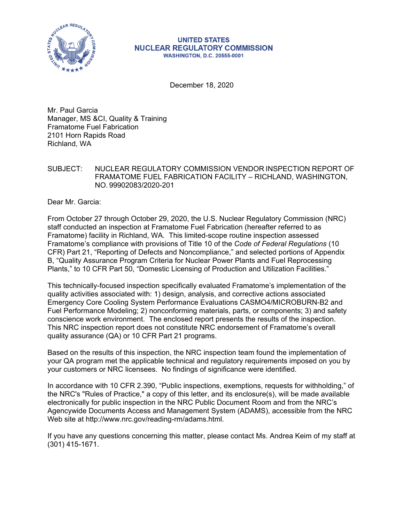

#### **UNITED STATES NUCLEAR REGULATORY COMMISSION WASHINGTON, D.C. 20555-0001**

December 18, 2020

Mr. Paul Garcia Manager, MS &CI, Quality & Training Framatome Fuel Fabrication 2101 Horn Rapids Road Richland, WA

#### SUBJECT: NUCLEAR REGULATORY COMMISSION VENDOR INSPECTION REPORT OF FRAMATOME FUEL FABRICATION FACILITY – RICHLAND, WASHINGTON, NO. 99902083/2020-201

Dear Mr. Garcia:

From October 27 through October 29, 2020, the U.S. Nuclear Regulatory Commission (NRC) staff conducted an inspection at Framatome Fuel Fabrication (hereafter referred to as Framatome) facility in Richland, WA. This limited-scope routine inspection assessed Framatome's compliance with provisions of Title 10 of the *Code of Federal Regulations* (10 CFR) Part 21, "Reporting of Defects and Noncompliance," and selected portions of Appendix B, "Quality Assurance Program Criteria for Nuclear Power Plants and Fuel Reprocessing Plants," to 10 CFR Part 50, "Domestic Licensing of Production and Utilization Facilities."

This technically-focused inspection specifically evaluated Framatome's implementation of the quality activities associated with: 1) design, analysis, and corrective actions associated Emergency Core Cooling System Performance Evaluations CASMO4/MICROBURN-B2 and Fuel Performance Modeling; 2) nonconforming materials, parts, or components; 3) and safety conscience work environment. The enclosed report presents the results of the inspection. This NRC inspection report does not constitute NRC endorsement of Framatome's overall quality assurance (QA) or 10 CFR Part 21 programs.

Based on the results of this inspection, the NRC inspection team found the implementation of your QA program met the applicable technical and regulatory requirements imposed on you by your customers or NRC licensees. No findings of significance were identified.

In accordance with 10 CFR 2.390, "Public inspections, exemptions, requests for withholding," of the NRC's "Rules of Practice," a copy of this letter, and its enclosure(s), will be made available electronically for public inspection in the NRC Public Document Room and from the NRC's Agencywide Documents Access and Management System (ADAMS), accessible from the NRC Web site at http://www.nrc.gov/reading-rm/adams.html.

If you have any questions concerning this matter, please contact Ms. Andrea Keim of my staff at (301) 415-1671.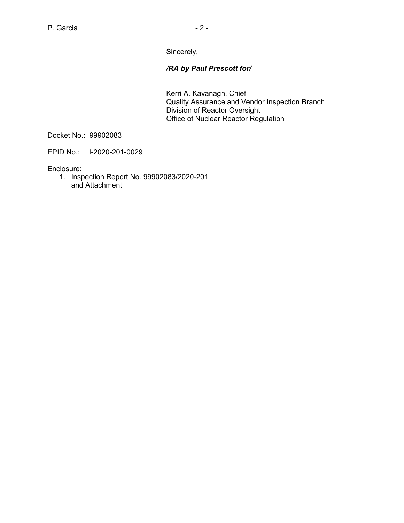Sincerely,

# */RA by Paul Prescott for/*

Kerri A. Kavanagh, Chief Quality Assurance and Vendor Inspection Branch Division of Reactor Oversight Office of Nuclear Reactor Regulation

Docket No.: 99902083

EPID No.: I-2020-201-0029

Enclosure:

1. Inspection Report No. 99902083/2020-201 and Attachment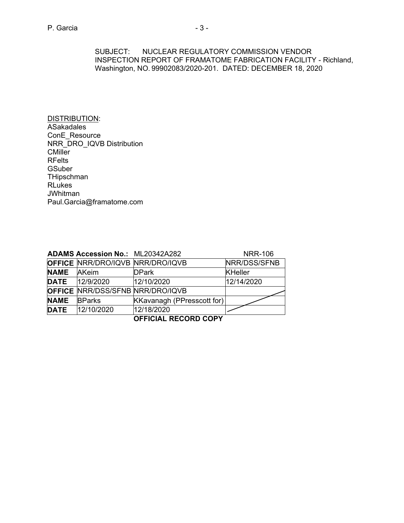SUBJECT: NUCLEAR REGULATORY COMMISSION VENDOR INSPECTION REPORT OF FRAMATOME FABRICATION FACILITY - Richland, Washington, NO. 99902083/2020-201. DATED: DECEMBER 18, 2020

DISTRIBUTION: **ASakadales** ConE\_Resource NRR\_DRO\_IQVB Distribution **CMiller** RFelts **GSuber THipschman** RLukes **JWhitman** Paul.Garcia@framatome.com

|                             | <b>ADAMS Accession No.: ML20342A282</b> |                            | <b>NRR-106</b> |  |
|-----------------------------|-----------------------------------------|----------------------------|----------------|--|
|                             | <b>OFFICE NRR/DRO/IQVB NRR/DRO/IQVB</b> |                            | NRR/DSS/SFNB   |  |
| <b>NAME</b>                 | AKeim                                   | <b>DPark</b>               | <b>KHeller</b> |  |
|                             | <b>DATE</b> 12/9/2020                   | 12/10/2020                 | 12/14/2020     |  |
|                             | <b>OFFICE NRR/DSS/SFNB NRR/DRO/IQVB</b> |                            |                |  |
| <b>NAME</b>                 | <b>BParks</b>                           | KKavanagh (PPresscott for) |                |  |
| <b>DATE</b>                 | 12/10/2020                              | 12/18/2020                 |                |  |
| <b>OFFICIAL RECORD COPY</b> |                                         |                            |                |  |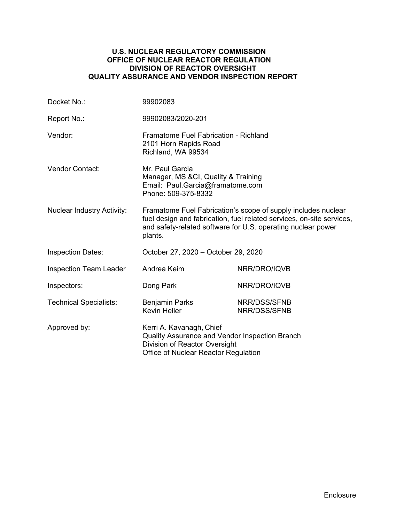#### **U.S. NUCLEAR REGULATORY COMMISSION OFFICE OF NUCLEAR REACTOR REGULATION DIVISION OF REACTOR OVERSIGHT QUALITY ASSURANCE AND VENDOR INSPECTION REPORT**

| Docket No.:                                                                                                                                                         | 99902083                                                                                                                                                                                                          |                              |  |
|---------------------------------------------------------------------------------------------------------------------------------------------------------------------|-------------------------------------------------------------------------------------------------------------------------------------------------------------------------------------------------------------------|------------------------------|--|
| Report No.:                                                                                                                                                         | 99902083/2020-201                                                                                                                                                                                                 |                              |  |
| Vendor:                                                                                                                                                             | Framatome Fuel Fabrication - Richland<br>2101 Horn Rapids Road<br>Richland, WA 99534                                                                                                                              |                              |  |
| <b>Vendor Contact:</b>                                                                                                                                              | Mr. Paul Garcia<br>Manager, MS & CI, Quality & Training<br>Email: Paul.Garcia@framatome.com<br>Phone: 509-375-8332                                                                                                |                              |  |
| <b>Nuclear Industry Activity:</b>                                                                                                                                   | Framatome Fuel Fabrication's scope of supply includes nuclear<br>fuel design and fabrication, fuel related services, on-site services,<br>and safety-related software for U.S. operating nuclear power<br>plants. |                              |  |
| <b>Inspection Dates:</b>                                                                                                                                            | October 27, 2020 - October 29, 2020                                                                                                                                                                               |                              |  |
| <b>Inspection Team Leader</b>                                                                                                                                       | Andrea Keim                                                                                                                                                                                                       | NRR/DRO/IQVB                 |  |
| Inspectors:                                                                                                                                                         | Dong Park                                                                                                                                                                                                         | NRR/DRO/IQVB                 |  |
| <b>Technical Specialists:</b>                                                                                                                                       | <b>Benjamin Parks</b><br><b>Kevin Heller</b>                                                                                                                                                                      | NRR/DSS/SFNB<br>NRR/DSS/SFNB |  |
| Approved by:<br>Kerri A. Kavanagh, Chief<br>Quality Assurance and Vendor Inspection Branch<br>Division of Reactor Oversight<br>Office of Nuclear Reactor Regulation |                                                                                                                                                                                                                   |                              |  |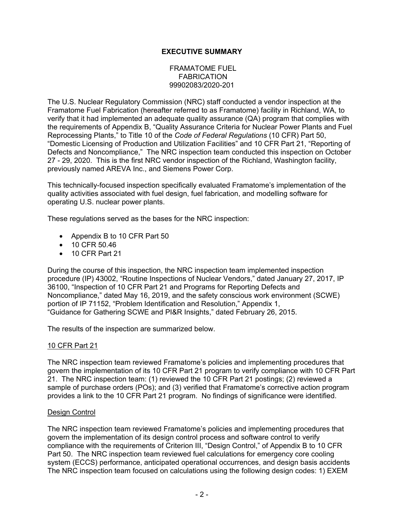# **EXECUTIVE SUMMARY**

#### FRAMATOME FUEL **FABRICATION** 99902083/2020-201

The U.S. Nuclear Regulatory Commission (NRC) staff conducted a vendor inspection at the Framatome Fuel Fabrication (hereafter referred to as Framatome) facility in Richland, WA, to verify that it had implemented an adequate quality assurance (QA) program that complies with the requirements of Appendix B, "Quality Assurance Criteria for Nuclear Power Plants and Fuel Reprocessing Plants," to Title 10 of the *Code of Federal Regulations* (10 CFR) Part 50, "Domestic Licensing of Production and Utilization Facilities" and 10 CFR Part 21, "Reporting of Defects and Noncompliance," The NRC inspection team conducted this inspection on October 27 - 29, 2020. This is the first NRC vendor inspection of the Richland, Washington facility, previously named AREVA Inc., and Siemens Power Corp.

This technically-focused inspection specifically evaluated Framatome's implementation of the quality activities associated with fuel design, fuel fabrication, and modelling software for operating U.S. nuclear power plants.

These regulations served as the bases for the NRC inspection:

- Appendix B to 10 CFR Part 50
- 10 CFR 50.46
- 10 CFR Part 21

During the course of this inspection, the NRC inspection team implemented inspection procedure (IP) 43002, "Routine Inspections of Nuclear Vendors," dated January 27, 2017, IP 36100, "Inspection of 10 CFR Part 21 and Programs for Reporting Defects and Noncompliance," dated May 16, 2019, and the safety conscious work environment (SCWE) portion of IP 71152, "Problem Identification and Resolution," Appendix 1, "Guidance for Gathering SCWE and PI&R Insights," dated February 26, 2015.

The results of the inspection are summarized below.

## 10 CFR Part 21

The NRC inspection team reviewed Framatome's policies and implementing procedures that govern the implementation of its 10 CFR Part 21 program to verify compliance with 10 CFR Part 21. The NRC inspection team: (1) reviewed the 10 CFR Part 21 postings; (2) reviewed a sample of purchase orders (POs); and (3) verified that Framatome's corrective action program provides a link to the 10 CFR Part 21 program. No findings of significance were identified.

## Design Control

The NRC inspection team reviewed Framatome's policies and implementing procedures that govern the implementation of its design control process and software control to verify compliance with the requirements of Criterion III, "Design Control," of Appendix B to 10 CFR Part 50. The NRC inspection team reviewed fuel calculations for emergency core cooling system (ECCS) performance, anticipated operational occurrences, and design basis accidents The NRC inspection team focused on calculations using the following design codes: 1) EXEM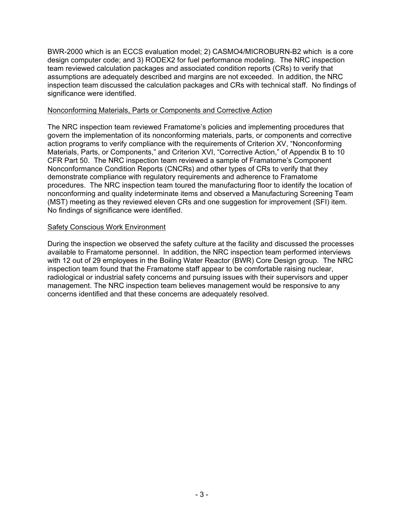BWR-2000 which is an ECCS evaluation model; 2) CASMO4/MICROBURN-B2 which is a core design computer code; and 3) RODEX2 for fuel performance modeling. The NRC inspection team reviewed calculation packages and associated condition reports (CRs) to verify that assumptions are adequately described and margins are not exceeded. In addition, the NRC inspection team discussed the calculation packages and CRs with technical staff. No findings of significance were identified.

#### Nonconforming Materials, Parts or Components and Corrective Action

The NRC inspection team reviewed Framatome's policies and implementing procedures that govern the implementation of its nonconforming materials, parts, or components and corrective action programs to verify compliance with the requirements of Criterion XV, "Nonconforming Materials, Parts, or Components," and Criterion XVI, "Corrective Action," of Appendix B to 10 CFR Part 50. The NRC inspection team reviewed a sample of Framatome's Component Nonconformance Condition Reports (CNCRs) and other types of CRs to verify that they demonstrate compliance with regulatory requirements and adherence to Framatome procedures. The NRC inspection team toured the manufacturing floor to identify the location of nonconforming and quality indeterminate items and observed a Manufacturing Screening Team (MST) meeting as they reviewed eleven CRs and one suggestion for improvement (SFI) item. No findings of significance were identified.

## Safety Conscious Work Environment

During the inspection we observed the safety culture at the facility and discussed the processes available to Framatome personnel. In addition, the NRC inspection team performed interviews with 12 out of 29 employees in the Boiling Water Reactor (BWR) Core Design group. The NRC inspection team found that the Framatome staff appear to be comfortable raising nuclear, radiological or industrial safety concerns and pursuing issues with their supervisors and upper management. The NRC inspection team believes management would be responsive to any concerns identified and that these concerns are adequately resolved.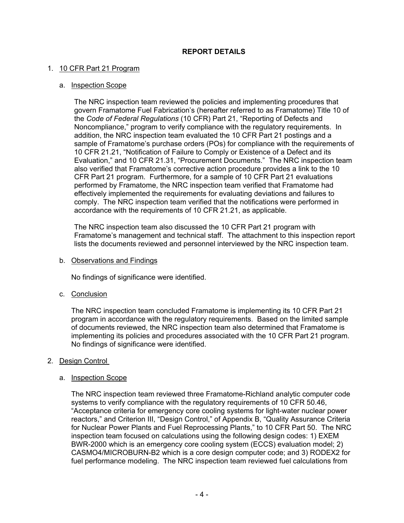# **REPORT DETAILS**

### 1. 10 CFR Part 21 Program

#### a. Inspection Scope

The NRC inspection team reviewed the policies and implementing procedures that govern Framatome Fuel Fabrication's (hereafter referred to as Framatome) Title 10 of the *Code of Federal Regulations* (10 CFR) Part 21, "Reporting of Defects and Noncompliance," program to verify compliance with the regulatory requirements. In addition, the NRC inspection team evaluated the 10 CFR Part 21 postings and a sample of Framatome's purchase orders (POs) for compliance with the requirements of 10 CFR 21.21, "Notification of Failure to Comply or Existence of a Defect and its Evaluation," and 10 CFR 21.31, "Procurement Documents." The NRC inspection team also verified that Framatome's corrective action procedure provides a link to the 10 CFR Part 21 program. Furthermore, for a sample of 10 CFR Part 21 evaluations performed by Framatome, the NRC inspection team verified that Framatome had effectively implemented the requirements for evaluating deviations and failures to comply. The NRC inspection team verified that the notifications were performed in accordance with the requirements of 10 CFR 21.21, as applicable.

The NRC inspection team also discussed the 10 CFR Part 21 program with Framatome's management and technical staff. The attachment to this inspection report lists the documents reviewed and personnel interviewed by the NRC inspection team.

b. Observations and Findings

No findings of significance were identified.

c. Conclusion

The NRC inspection team concluded Framatome is implementing its 10 CFR Part 21 program in accordance with the regulatory requirements. Based on the limited sample of documents reviewed, the NRC inspection team also determined that Framatome is implementing its policies and procedures associated with the 10 CFR Part 21 program. No findings of significance were identified.

## 2. Design Control

#### a. Inspection Scope

The NRC inspection team reviewed three Framatome-Richland analytic computer code systems to verify compliance with the regulatory requirements of 10 CFR 50.46, "Acceptance criteria for emergency core cooling systems for light-water nuclear power reactors," and Criterion III, "Design Control," of Appendix B, "Quality Assurance Criteria for Nuclear Power Plants and Fuel Reprocessing Plants," to 10 CFR Part 50. The NRC inspection team focused on calculations using the following design codes: 1) EXEM BWR-2000 which is an emergency core cooling system (ECCS) evaluation model; 2) CASMO4/MICROBURN-B2 which is a core design computer code; and 3) RODEX2 for fuel performance modeling. The NRC inspection team reviewed fuel calculations from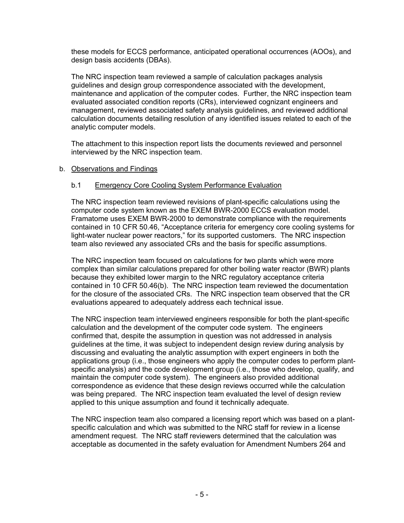these models for ECCS performance, anticipated operational occurrences (AOOs), and design basis accidents (DBAs).

The NRC inspection team reviewed a sample of calculation packages analysis guidelines and design group correspondence associated with the development, maintenance and application of the computer codes. Further, the NRC inspection team evaluated associated condition reports (CRs), interviewed cognizant engineers and management, reviewed associated safety analysis guidelines, and reviewed additional calculation documents detailing resolution of any identified issues related to each of the analytic computer models.

The attachment to this inspection report lists the documents reviewed and personnel interviewed by the NRC inspection team.

#### b. Observations and Findings

#### b.1 Emergency Core Cooling System Performance Evaluation

The NRC inspection team reviewed revisions of plant-specific calculations using the computer code system known as the EXEM BWR-2000 ECCS evaluation model. Framatome uses EXEM BWR-2000 to demonstrate compliance with the requirements contained in 10 CFR 50.46, "Acceptance criteria for emergency core cooling systems for light-water nuclear power reactors," for its supported customers. The NRC inspection team also reviewed any associated CRs and the basis for specific assumptions.

The NRC inspection team focused on calculations for two plants which were more complex than similar calculations prepared for other boiling water reactor (BWR) plants because they exhibited lower margin to the NRC regulatory acceptance criteria contained in 10 CFR 50.46(b). The NRC inspection team reviewed the documentation for the closure of the associated CRs. The NRC inspection team observed that the CR evaluations appeared to adequately address each technical issue.

The NRC inspection team interviewed engineers responsible for both the plant-specific calculation and the development of the computer code system. The engineers confirmed that, despite the assumption in question was not addressed in analysis guidelines at the time, it was subject to independent design review during analysis by discussing and evaluating the analytic assumption with expert engineers in both the applications group (i.e., those engineers who apply the computer codes to perform plantspecific analysis) and the code development group (i.e., those who develop, qualify, and maintain the computer code system). The engineers also provided additional correspondence as evidence that these design reviews occurred while the calculation was being prepared. The NRC inspection team evaluated the level of design review applied to this unique assumption and found it technically adequate.

The NRC inspection team also compared a licensing report which was based on a plantspecific calculation and which was submitted to the NRC staff for review in a license amendment request. The NRC staff reviewers determined that the calculation was acceptable as documented in the safety evaluation for Amendment Numbers 264 and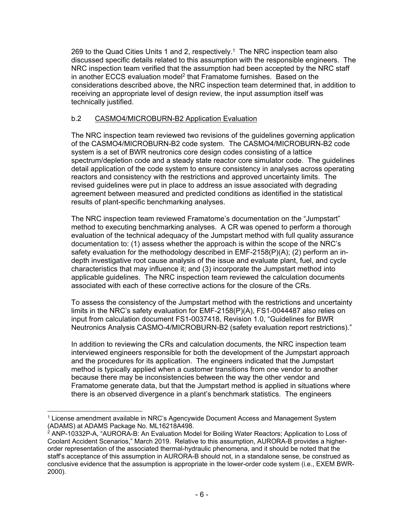269 to the Quad Cities Units 1 and 2, respectively.<sup>1</sup> The NRC inspection team also discussed specific details related to this assumption with the responsible engineers. The NRC inspection team verified that the assumption had been accepted by the NRC staff in another ECCS evaluation model<sup>2</sup> that Framatome furnishes. Based on the considerations described above, the NRC inspection team determined that, in addition to receiving an appropriate level of design review, the input assumption itself was technically justified.

# b.2 CASMO4/MICROBURN-B2 Application Evaluation

The NRC inspection team reviewed two revisions of the guidelines governing application of the CASMO4/MICROBURN-B2 code system. The CASMO4/MICROBURN-B2 code system is a set of BWR neutronics core design codes consisting of a lattice spectrum/depletion code and a steady state reactor core simulator code. The guidelines detail application of the code system to ensure consistency in analyses across operating reactors and consistency with the restrictions and approved uncertainty limits. The revised guidelines were put in place to address an issue associated with degrading agreement between measured and predicted conditions as identified in the statistical results of plant-specific benchmarking analyses.

The NRC inspection team reviewed Framatome's documentation on the "Jumpstart" method to executing benchmarking analyses. A CR was opened to perform a thorough evaluation of the technical adequacy of the Jumpstart method with full quality assurance documentation to: (1) assess whether the approach is within the scope of the NRC's safety evaluation for the methodology described in EMF-2158(P)(A); (2) perform an indepth investigative root cause analysis of the issue and evaluate plant, fuel, and cycle characteristics that may influence it; and (3) incorporate the Jumpstart method into applicable guidelines. The NRC inspection team reviewed the calculation documents associated with each of these corrective actions for the closure of the CRs.

To assess the consistency of the Jumpstart method with the restrictions and uncertainty limits in the NRC's safety evaluation for EMF-2158(P)(A), FS1-0044487 also relies on input from calculation document FS1-0037418, Revision 1.0, "Guidelines for BWR Neutronics Analysis CASMO-4/MICROBURN-B2 (safety evaluation report restrictions)."

In addition to reviewing the CRs and calculation documents, the NRC inspection team interviewed engineers responsible for both the development of the Jumpstart approach and the procedures for its application. The engineers indicated that the Jumpstart method is typically applied when a customer transitions from one vendor to another because there may be inconsistencies between the way the other vendor and Framatome generate data, but that the Jumpstart method is applied in situations where there is an observed divergence in a plant's benchmark statistics. The engineers

<sup>-</sup>1 License amendment available in NRC's Agencywide Document Access and Management System (ADAMS) at ADAMS Package No. ML16218A498.

 $2^{2}$  ANP-10332P-A, "AURORA-B: An Evaluation Model for Boiling Water Reactors; Application to Loss of Coolant Accident Scenarios," March 2019. Relative to this assumption, AURORA-B provides a higherorder representation of the associated thermal-hydraulic phenomena, and it should be noted that the staff's acceptance of this assumption in AURORA-B should not, in a standalone sense, be construed as conclusive evidence that the assumption is appropriate in the lower-order code system (i.e., EXEM BWR-2000).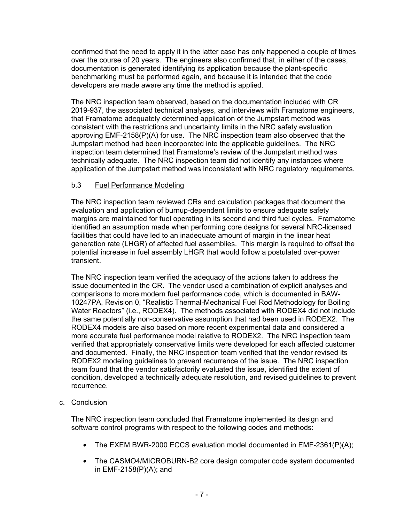confirmed that the need to apply it in the latter case has only happened a couple of times over the course of 20 years. The engineers also confirmed that, in either of the cases, documentation is generated identifying its application because the plant-specific benchmarking must be performed again, and because it is intended that the code developers are made aware any time the method is applied.

The NRC inspection team observed, based on the documentation included with CR 2019-937, the associated technical analyses, and interviews with Framatome engineers, that Framatome adequately determined application of the Jumpstart method was consistent with the restrictions and uncertainty limits in the NRC safety evaluation approving EMF-2158(P)(A) for use. The NRC inspection team also observed that the Jumpstart method had been incorporated into the applicable guidelines. The NRC inspection team determined that Framatome's review of the Jumpstart method was technically adequate. The NRC inspection team did not identify any instances where application of the Jumpstart method was inconsistent with NRC regulatory requirements.

# b.3 Fuel Performance Modeling

The NRC inspection team reviewed CRs and calculation packages that document the evaluation and application of burnup-dependent limits to ensure adequate safety margins are maintained for fuel operating in its second and third fuel cycles. Framatome identified an assumption made when performing core designs for several NRC-licensed facilities that could have led to an inadequate amount of margin in the linear heat generation rate (LHGR) of affected fuel assemblies. This margin is required to offset the potential increase in fuel assembly LHGR that would follow a postulated over-power transient.

The NRC inspection team verified the adequacy of the actions taken to address the issue documented in the CR. The vendor used a combination of explicit analyses and comparisons to more modern fuel performance code, which is documented in BAW-10247PA, Revision 0, "Realistic Thermal-Mechanical Fuel Rod Methodology for Boiling Water Reactors" (i.e., RODEX4). The methods associated with RODEX4 did not include the same potentially non-conservative assumption that had been used in RODEX2. The RODEX4 models are also based on more recent experimental data and considered a more accurate fuel performance model relative to RODEX2. The NRC inspection team verified that appropriately conservative limits were developed for each affected customer and documented. Finally, the NRC inspection team verified that the vendor revised its RODEX2 modeling guidelines to prevent recurrence of the issue. The NRC inspection team found that the vendor satisfactorily evaluated the issue, identified the extent of condition, developed a technically adequate resolution, and revised guidelines to prevent recurrence.

## c. Conclusion

The NRC inspection team concluded that Framatome implemented its design and software control programs with respect to the following codes and methods:

- The EXEM BWR-2000 ECCS evaluation model documented in EMF-2361(P)(A);
- The CASMO4/MICROBURN-B2 core design computer code system documented in EMF-2158(P)(A); and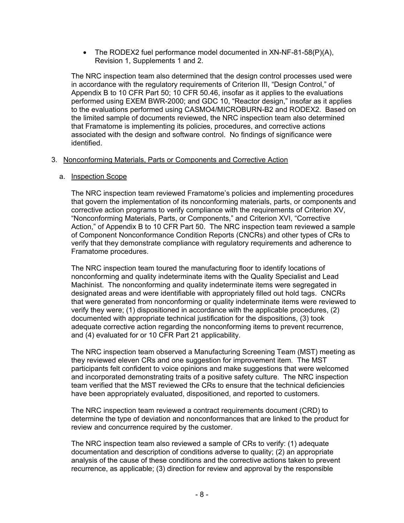• The RODEX2 fuel performance model documented in  $XN-NF-81-58(P)(A)$ , Revision 1, Supplements 1 and 2.

The NRC inspection team also determined that the design control processes used were in accordance with the regulatory requirements of Criterion III, "Design Control," of Appendix B to 10 CFR Part 50; 10 CFR 50.46, insofar as it applies to the evaluations performed using EXEM BWR-2000; and GDC 10, "Reactor design," insofar as it applies to the evaluations performed using CASMO4/MICROBURN-B2 and RODEX2. Based on the limited sample of documents reviewed, the NRC inspection team also determined that Framatome is implementing its policies, procedures, and corrective actions associated with the design and software control. No findings of significance were identified.

## 3. Nonconforming Materials, Parts or Components and Corrective Action

#### a. Inspection Scope

The NRC inspection team reviewed Framatome's policies and implementing procedures that govern the implementation of its nonconforming materials, parts, or components and corrective action programs to verify compliance with the requirements of Criterion XV, "Nonconforming Materials, Parts, or Components," and Criterion XVI, "Corrective Action," of Appendix B to 10 CFR Part 50. The NRC inspection team reviewed a sample of Component Nonconformance Condition Reports (CNCRs) and other types of CRs to verify that they demonstrate compliance with regulatory requirements and adherence to Framatome procedures.

The NRC inspection team toured the manufacturing floor to identify locations of nonconforming and quality indeterminate items with the Quality Specialist and Lead Machinist. The nonconforming and quality indeterminate items were segregated in designated areas and were identifiable with appropriately filled out hold tags. CNCRs that were generated from nonconforming or quality indeterminate items were reviewed to verify they were; (1) dispositioned in accordance with the applicable procedures, (2) documented with appropriate technical justification for the dispositions, (3) took adequate corrective action regarding the nonconforming items to prevent recurrence, and (4) evaluated for or 10 CFR Part 21 applicability.

The NRC inspection team observed a Manufacturing Screening Team (MST) meeting as they reviewed eleven CRs and one suggestion for improvement item. The MST participants felt confident to voice opinions and make suggestions that were welcomed and incorporated demonstrating traits of a positive safety culture. The NRC inspection team verified that the MST reviewed the CRs to ensure that the technical deficiencies have been appropriately evaluated, dispositioned, and reported to customers.

The NRC inspection team reviewed a contract requirements document (CRD) to determine the type of deviation and nonconformances that are linked to the product for review and concurrence required by the customer.

The NRC inspection team also reviewed a sample of CRs to verify: (1) adequate documentation and description of conditions adverse to quality; (2) an appropriate analysis of the cause of these conditions and the corrective actions taken to prevent recurrence, as applicable; (3) direction for review and approval by the responsible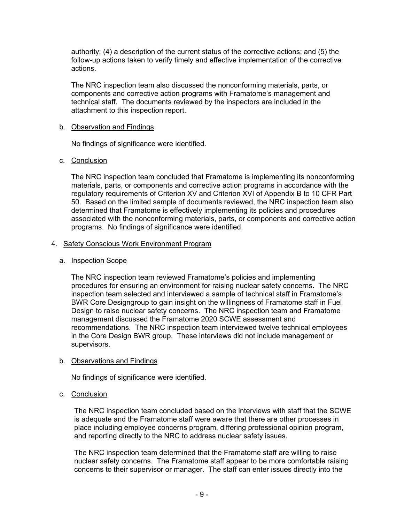authority; (4) a description of the current status of the corrective actions; and (5) the follow-up actions taken to verify timely and effective implementation of the corrective actions.

The NRC inspection team also discussed the nonconforming materials, parts, or components and corrective action programs with Framatome's management and technical staff. The documents reviewed by the inspectors are included in the attachment to this inspection report.

#### b. Observation and Findings

No findings of significance were identified.

#### c. Conclusion

The NRC inspection team concluded that Framatome is implementing its nonconforming materials, parts, or components and corrective action programs in accordance with the regulatory requirements of Criterion XV and Criterion XVI of Appendix B to 10 CFR Part 50. Based on the limited sample of documents reviewed, the NRC inspection team also determined that Framatome is effectively implementing its policies and procedures associated with the nonconforming materials, parts, or components and corrective action programs. No findings of significance were identified.

#### 4. Safety Conscious Work Environment Program

### a. Inspection Scope

The NRC inspection team reviewed Framatome's policies and implementing procedures for ensuring an environment for raising nuclear safety concerns. The NRC inspection team selected and interviewed a sample of technical staff in Framatome's BWR Core Designgroup to gain insight on the willingness of Framatome staff in Fuel Design to raise nuclear safety concerns. The NRC inspection team and Framatome management discussed the Framatome 2020 SCWE assessment and recommendations. The NRC inspection team interviewed twelve technical employees in the Core Design BWR group. These interviews did not include management or supervisors.

#### b. Observations and Findings

No findings of significance were identified.

## c. Conclusion

The NRC inspection team concluded based on the interviews with staff that the SCWE is adequate and the Framatome staff were aware that there are other processes in place including employee concerns program, differing professional opinion program, and reporting directly to the NRC to address nuclear safety issues.

The NRC inspection team determined that the Framatome staff are willing to raise nuclear safety concerns. The Framatome staff appear to be more comfortable raising concerns to their supervisor or manager. The staff can enter issues directly into the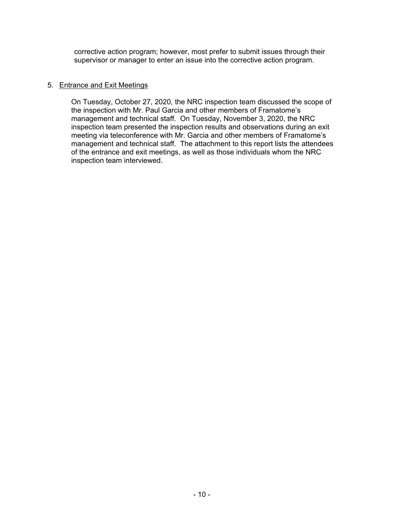corrective action program; however, most prefer to submit issues through their supervisor or manager to enter an issue into the corrective action program.

## 5. Entrance and Exit Meetings

On Tuesday, October 27, 2020, the NRC inspection team discussed the scope of the inspection with Mr. Paul Garcia and other members of Framatome's management and technical staff. On Tuesday, November 3, 2020, the NRC inspection team presented the inspection results and observations during an exit meeting via teleconference with Mr. Garcia and other members of Framatome's management and technical staff. The attachment to this report lists the attendees of the entrance and exit meetings, as well as those individuals whom the NRC inspection team interviewed.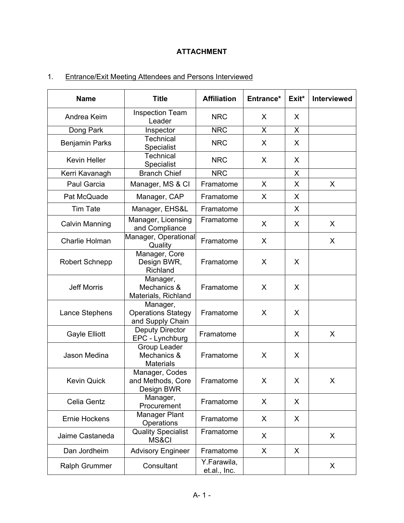# **ATTACHMENT**

# 1. Entrance/Exit Meeting Attendees and Persons Interviewed

| <b>Name</b>           | <b>Title</b>                                              | <b>Affiliation</b>          | Entrance* | Exit* | <b>Interviewed</b> |
|-----------------------|-----------------------------------------------------------|-----------------------------|-----------|-------|--------------------|
| Andrea Keim           | <b>Inspection Team</b><br>Leader                          | <b>NRC</b>                  | X         | X     |                    |
| Dong Park             | Inspector                                                 | <b>NRC</b>                  | X         | X     |                    |
| <b>Benjamin Parks</b> | <b>Technical</b><br>Specialist                            | <b>NRC</b>                  | X         | X     |                    |
| <b>Kevin Heller</b>   | Technical<br>Specialist                                   | <b>NRC</b>                  | X         | X     |                    |
| Kerri Kavanagh        | <b>Branch Chief</b>                                       | <b>NRC</b>                  |           | X     |                    |
| Paul Garcia           | Manager, MS & CI                                          | Framatome                   | X         | X     | X                  |
| Pat McQuade           | Manager, CAP                                              | Framatome                   | X         | X     |                    |
| <b>Tim Tate</b>       | Manager, EHS&L                                            | Framatome                   |           | X     |                    |
| <b>Calvin Manning</b> | Manager, Licensing<br>and Compliance                      | Framatome                   | X         | X     | X                  |
| Charlie Holman        | Manager, Operational<br>Quality                           | Framatome                   | X         |       | X                  |
| <b>Robert Schnepp</b> | Manager, Core<br>Design BWR,<br>Richland                  | Framatome                   | X         | X     |                    |
| <b>Jeff Morris</b>    | Manager,<br>Mechanics &<br>Materials, Richland            | Framatome                   | X         | X     |                    |
| Lance Stephens        | Manager,<br><b>Operations Stategy</b><br>and Supply Chain | Framatome                   | X         | X     |                    |
| <b>Gayle Elliott</b>  | <b>Deputy Director</b><br>EPC - Lynchburg                 | Framatome                   |           | X     | X                  |
| <b>Jason Medina</b>   | <b>Group Leader</b><br>Mechanics &<br><b>Materials</b>    | Framatome                   | X         | X     |                    |
| <b>Kevin Quick</b>    | Manager, Codes<br>and Methods, Core<br>Design BWR         | Framatome                   | X         | X     | X.                 |
| Celia Gentz           | Manager,<br>Procurement                                   | Framatome                   | X         | X     |                    |
| <b>Ernie Hockens</b>  | <b>Manager Plant</b><br>Operations                        | Framatome                   | X         | X     |                    |
| Jaime Castaneda       | <b>Quality Specialist</b><br>MS&CI                        | Framatome                   | X         |       | X                  |
| Dan Jordheim          | <b>Advisory Engineer</b>                                  | Framatome                   | X         | X     |                    |
| <b>Ralph Grummer</b>  | Consultant                                                | Y.Farawila,<br>et.al., Inc. |           |       | X                  |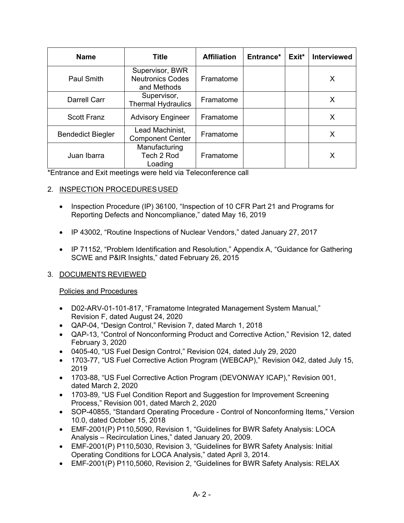| <b>Name</b>              | <b>Title</b>                                              | <b>Affiliation</b> | Entrance* | Exit* | <b>Interviewed</b> |
|--------------------------|-----------------------------------------------------------|--------------------|-----------|-------|--------------------|
| <b>Paul Smith</b>        | Supervisor, BWR<br><b>Neutronics Codes</b><br>and Methods | Framatome          |           |       | Х                  |
| Darrell Carr             | Supervisor,<br><b>Thermal Hydraulics</b>                  | Framatome          |           |       | Х                  |
| <b>Scott Franz</b>       | <b>Advisory Engineer</b>                                  | Framatome          |           |       | X                  |
| <b>Bendedict Biegler</b> | Lead Machinist,<br><b>Component Center</b>                | Framatome          |           |       | Х                  |
| Juan Ibarra              | Manufacturing<br>Tech 2 Rod<br>Loading                    | Framatome          |           |       | X                  |

\*Entrance and Exit meetings were held via Teleconference call

# 2. INSPECTION PROCEDURES USED

- Inspection Procedure (IP) 36100, "Inspection of 10 CFR Part 21 and Programs for Reporting Defects and Noncompliance," dated May 16, 2019
- IP 43002, "Routine Inspections of Nuclear Vendors," dated January 27, 2017
- IP 71152, "Problem Identification and Resolution," Appendix A, "Guidance for Gathering SCWE and P&IR Insights," dated February 26, 2015

## 3. DOCUMENTS REVIEWED

## Policies and Procedures

- D02-ARV-01-101-817, "Framatome Integrated Management System Manual," Revision F, dated August 24, 2020
- QAP-04, "Design Control," Revision 7, dated March 1, 2018
- QAP-13, "Control of Nonconforming Product and Corrective Action," Revision 12, dated February 3, 2020
- 0405-40, "US Fuel Design Control," Revision 024, dated July 29, 2020
- 1703-77, "US Fuel Corrective Action Program (WEBCAP)," Revision 042, dated July 15, 2019
- 1703-88, "US Fuel Corrective Action Program (DEVONWAY ICAP)," Revision 001, dated March 2, 2020
- 1703-89, "US Fuel Condition Report and Suggestion for Improvement Screening Process," Revision 001, dated March 2, 2020
- SOP-40855, "Standard Operating Procedure Control of Nonconforming Items," Version 10.0, dated October 15, 2018
- EMF-2001(P) P110,5090, Revision 1, "Guidelines for BWR Safety Analysis: LOCA Analysis – Recirculation Lines," dated January 20, 2009.
- EMF-2001(P) P110,5030, Revision 3, "Guidelines for BWR Safety Analysis: Initial Operating Conditions for LOCA Analysis," dated April 3, 2014.
- EMF-2001(P) P110,5060, Revision 2, "Guidelines for BWR Safety Analysis: RELAX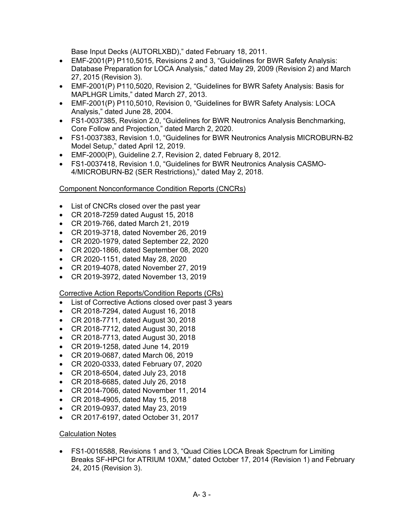Base Input Decks (AUTORLXBD)," dated February 18, 2011.

- EMF-2001(P) P110,5015, Revisions 2 and 3, "Guidelines for BWR Safety Analysis: Database Preparation for LOCA Analysis," dated May 29, 2009 (Revision 2) and March 27, 2015 (Revision 3).
- EMF-2001(P) P110,5020, Revision 2, "Guidelines for BWR Safety Analysis: Basis for MAPLHGR Limits," dated March 27, 2013.
- EMF-2001(P) P110,5010, Revision 0, "Guidelines for BWR Safety Analysis: LOCA Analysis," dated June 28, 2004.
- FS1-0037385, Revision 2.0, "Guidelines for BWR Neutronics Analysis Benchmarking, Core Follow and Projection," dated March 2, 2020.
- FS1-0037383, Revision 1.0, "Guidelines for BWR Neutronics Analysis MICROBURN-B2 Model Setup," dated April 12, 2019.
- EMF-2000(P), Guideline 2.7, Revision 2, dated February 8, 2012.
- FS1-0037418, Revision 1.0, "Guidelines for BWR Neutronics Analysis CASMO-4/MICROBURN-B2 (SER Restrictions)," dated May 2, 2018.

## Component Nonconformance Condition Reports (CNCRs)

- List of CNCRs closed over the past year
- CR 2018-7259 dated August 15, 2018
- CR 2019-766, dated March 21, 2019
- CR 2019-3718, dated November 26, 2019
- CR 2020-1979, dated September 22, 2020
- CR 2020-1866, dated September 08, 2020
- CR 2020-1151, dated May 28, 2020
- CR 2019-4078, dated November 27, 2019
- CR 2019-3972, dated November 13, 2019

Corrective Action Reports/Condition Reports (CRs)

- List of Corrective Actions closed over past 3 years
- CR 2018-7294, dated August 16, 2018
- CR 2018-7711, dated August 30, 2018
- CR 2018-7712, dated August 30, 2018
- CR 2018-7713, dated August 30, 2018
- CR 2019-1258, dated June 14, 2019
- CR 2019-0687, dated March 06, 2019
- CR 2020-0333, dated February 07, 2020
- CR 2018-6504 , dated July 23, 2018
- CR 2018-6685 , dated July 26, 2018
- CR 2014-7066, dated November 11, 2014
- CR 2018-4905, dated May 15, 2018
- CR 2019-0937, dated May 23, 2019
- CR 2017-6197, dated October 31, 2017

## Calculation Notes

• FS1-0016588, Revisions 1 and 3, "Quad Cities LOCA Break Spectrum for Limiting Breaks SF-HPCI for ATRIUM 10XM," dated October 17, 2014 (Revision 1) and February 24, 2015 (Revision 3).